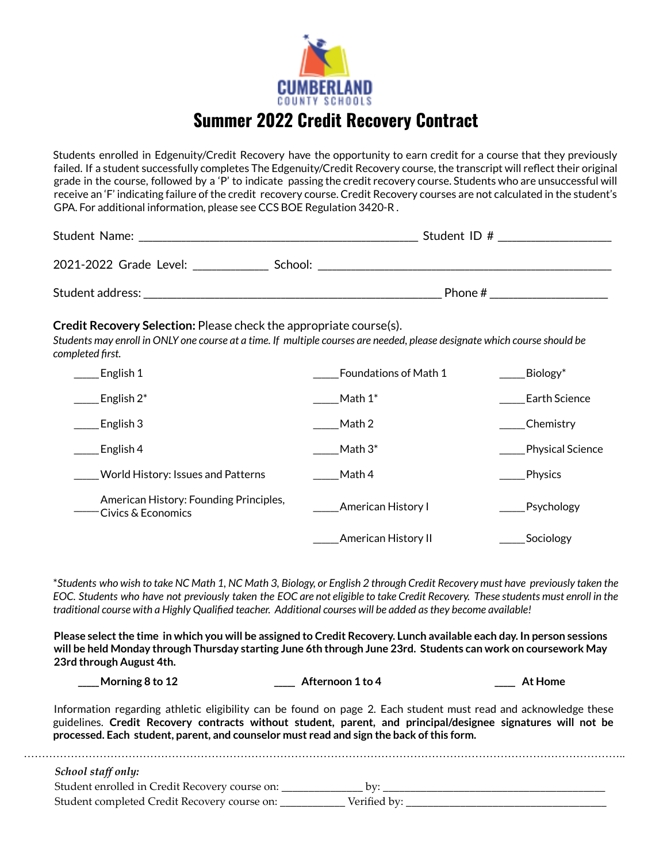

### **Summer 2022 Credit Recovery Contract**

Students enrolled in Edgenuity/Credit Recovery have the opportunity to earn credit for a course that they previously failed. If a student successfully completes The Edgenuity/Credit Recovery course, the transcript will reflect their original grade in the course, followed by a 'P' to indicate passing the credit recovery course. Students who are unsuccessful will receive an 'F' indicating failure of the credit recovery course. Credit Recovery courses are not calculated in the student's GPA. For additional information, please see CCS BOE Regulation 3420-R .

| Student Name:                     | Student ID # |  |  |
|-----------------------------------|--------------|--|--|
| 2021-2022 Grade Level:<br>School: |              |  |  |
| Student address:                  | Phone#       |  |  |

#### **Credit Recovery Selection:** Please check the appropriate course(s).

Students may enroll in ONLY one course at a time. If multiple courses are needed, please designate which course should be *completed first.*

| English 1                                                    | <b>Foundations of Math 1</b> | Biology <sup>*</sup> |
|--------------------------------------------------------------|------------------------------|----------------------|
| English $2^*$                                                | Math $1^*$                   | Earth Science        |
| English 3                                                    | Math 2                       | Chemistry            |
| English 4                                                    | Math $3^*$                   | Physical Science     |
| World History: Issues and Patterns                           | Math 4                       | Physics              |
| American History: Founding Principles,<br>Civics & Economics | American History I           | Psychology           |
|                                                              | American History II          | Sociology            |

\*Students who wish to take NC Math 1, NC Math 3, Biology, or English 2 through Credit Recovery must have previously taken the EOC. Students who have not previously taken the EOC are not eligible to take Credit Recovery. These students must enroll in the *traditional course with a Highly Qualified teacher. Additional courses will be added asthey become available!*

Please select the time in which you will be assigned to Credit Recovery. Lunch available each day. In person sessions will be held Monday through Thursday starting June 6th through June 23rd. Students can work on coursework May **23rd through August 4th.**

**\_\_\_\_\_Morning 8 to 12 \_\_\_\_\_ Afternoon 1 to 4 \_\_\_\_\_ At Home**

Information regarding athletic eligibility can be found on page 2. Each student must read and acknowledge these guidelines. **Credit Recovery contracts without student, parent, and principal/designee signatures will not be processed. Each student, parent, and counselor must read and sign the back ofthis form.**

| School staff only:                             |              |  |
|------------------------------------------------|--------------|--|
| Student enrolled in Credit Recovery course on: |              |  |
| Student completed Credit Recovery course on:   | Verified by: |  |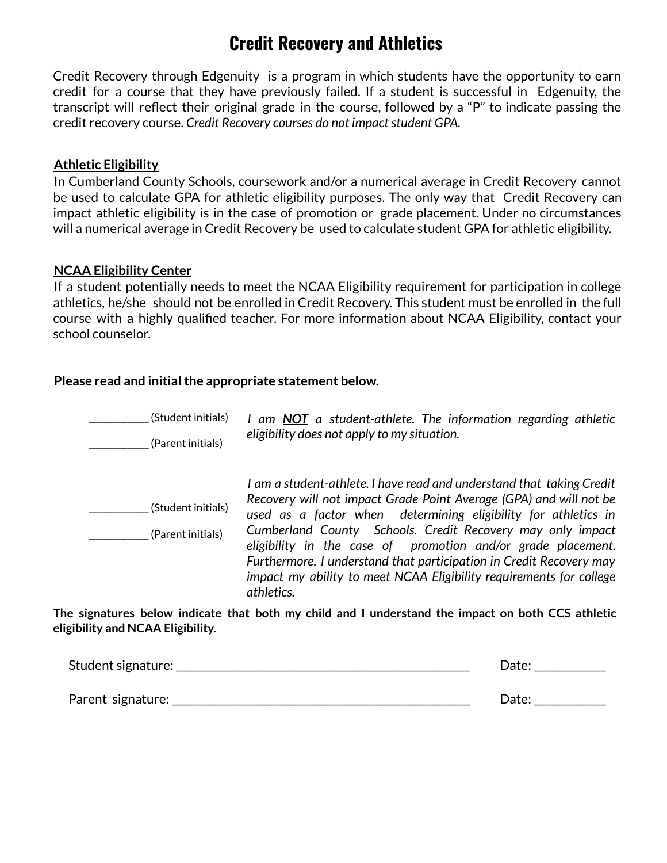# **Credit Recovery and Athletics**

Credit Recovery through Edgenuity is a program in which students have the opportunity to earn credit for a course that they have previously failed. If a student is successful in Edgenuity, the transcript will reflect their original grade in the course, followed by a "P" to indicate passing the  $c$ redit recovery course. *Credit Recovery courses do not impact student GPA.* 

#### **Athletic Eligibility**

In Cumberland County Schools, coursework and/or a numerical average in Credit Recovery cannot be used to calculate GPA for athletic eligibility purposes. The only way that Credit Recovery can impact athletic eligibility is in the case of promotion or grade placement. Under no circumstances will a numerical average in Credit Recovery be used to calculate student GPA for athletic eligibility.

#### **NCAA Eligibility Center**

If a student potentially needs to meet the NCAA Eligibility requirement for participation in college athletics, he/she should not be enrolled in Credit Recovery. This student must be enrolled in the full course with a highly qualified teacher. For more information about NCAA Eligibility, contact your school counselor.

#### **Please read and initial the appropriate statement below.**

| (Student initials)                      | I am <b>NOT</b> a student-athlete. The information regarding athletic                                                                                                                                                                                                                                                                                                                                                                                                                                   |
|-----------------------------------------|---------------------------------------------------------------------------------------------------------------------------------------------------------------------------------------------------------------------------------------------------------------------------------------------------------------------------------------------------------------------------------------------------------------------------------------------------------------------------------------------------------|
| (Parent initials)                       | eligibility does not apply to my situation.                                                                                                                                                                                                                                                                                                                                                                                                                                                             |
| (Student initials)<br>(Parent initials) | I am a student-athlete. I have read and understand that taking Credit<br>Recovery will not impact Grade Point Average (GPA) and will not be<br>used as a factor when determining eligibility for athletics in<br>Cumberland County Schools. Credit Recovery may only impact<br>eligibility in the case of promotion and/or grade placement.<br>Furthermore, I understand that participation in Credit Recovery may<br>impact my ability to meet NCAA Eligibility requirements for college<br>athletics. |

**The signatures below indicate that both my child and I understand the impact on both CCS athletic eligibility and NCAA Eligibility.**

| Student signature: _ | Date: |
|----------------------|-------|
| Parent signature:    | Date: |